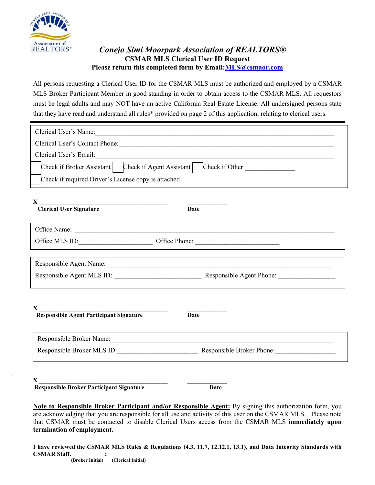

.

## *Conejo Simi Moorpark Association of REALTORS®* **CSMAR MLS Clerical User ID Request Please return this completed form by Email[:MLS@csmaor.com](mailto:MLS@csmaor.com)**

All persons requesting a Clerical User ID for the CSMAR MLS must be authorized and employed by a CSMAR MLS Broker Participant Member in good standing in order to obtain access to the CSMAR MLS. All requestors must be legal adults and may NOT have an active California Real Estate License. All undersigned persons state that they have read and understand all rules\* provided on page 2 of this application, relating to clerical users.

| Clerical User's Name: Manual Clerical User's Name:                                                                                                                                                                             |  |  |
|--------------------------------------------------------------------------------------------------------------------------------------------------------------------------------------------------------------------------------|--|--|
|                                                                                                                                                                                                                                |  |  |
|                                                                                                                                                                                                                                |  |  |
| Check if Broker Assistant   Check if Agent Assistant   Check if Other                                                                                                                                                          |  |  |
| Check if required Driver's License copy is attached                                                                                                                                                                            |  |  |
| X<br>Clerical User Signature<br><b>Date</b>                                                                                                                                                                                    |  |  |
| Office Name:                                                                                                                                                                                                                   |  |  |
|                                                                                                                                                                                                                                |  |  |
|                                                                                                                                                                                                                                |  |  |
| Responsible Agent Name: La Communication of the Agent Name: La Communication of the Agent Name: La Communication of the Agent Name: La Communication of the Agent Name: La Communication of the Agent Name: La Communication o |  |  |
|                                                                                                                                                                                                                                |  |  |
| $X_{-}$<br><b>Responsible Agent Participant Signature</b><br>Date                                                                                                                                                              |  |  |
| Responsible Broker Name: Manual Manual Manual Manual Manual Manual Manual Manual Manual Manual Manual Manual Ma                                                                                                                |  |  |
| Responsible Broker MLS ID: Responsible Broker Phone:                                                                                                                                                                           |  |  |
| <b>Responsible Broker Participant Signature</b><br>Date                                                                                                                                                                        |  |  |

**Note to Responsible Broker Participant and/or Responsible Agent:** By signing this authorization form, you are acknowledging that you are responsible for all use and activity of this user on the CSMAR MLS. Please note that CSMAR must be contacted to disable Clerical Users access from the CSMAR MLS **immediately upon termination of employment**.

**I have reviewed the CSMAR MLS Rules & Regulations (4.3, 11.7, 12.12.1, 13.1), and Data Integrity Standards with CSMAR Staff. \_\_\_\_\_\_\_\_\_ ; \_\_\_\_\_\_\_\_\_\_\_ (Broker Initial) (Clerical Initial)**